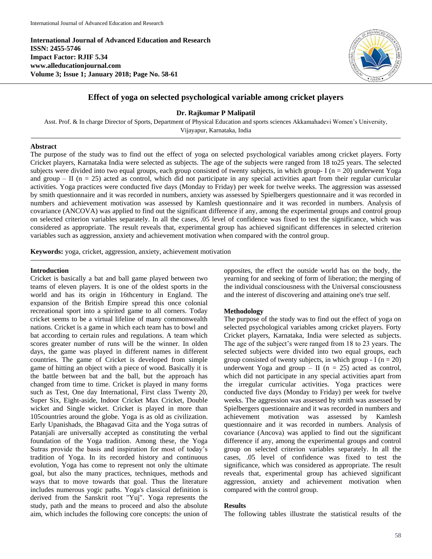**International Journal of Advanced Education and Research ISSN: 2455-5746 Impact Factor: RJIF 5.34 www.alleducationjournal.com Volume 3; Issue 1; January 2018; Page No. 58-61**



# **Effect of yoga on selected psychological variable among cricket players**

**Dr. Rajkumar P Malipatil**

Asst. Prof. & In charge Director of Sports, Department of Physical Education and sports sciences Akkamahadevi Women's University, Vijayapur, Karnataka, India

#### **Abstract**

The purpose of the study was to find out the effect of yoga on selected psychological variables among cricket players. Forty Cricket players, Karnataka India were selected as subjects. The age of the subjects were ranged from 18 to25 years. The selected subjects were divided into two equal groups, each group consisted of twenty subjects, in which group- I ( $n = 20$ ) underwent Yoga and group  $-$  II ( $n = 25$ ) acted as control, which did not participate in any special activities apart from their regular curricular activities. Yoga practices were conducted five days (Monday to Friday) per week for twelve weeks. The aggression was assessed by smith questionnaire and it was recorded in numbers, anxiety was assessed by Spielbergers questionnaire and it was recorded in numbers and achievement motivation was assessed by Kamlesh questionnaire and it was recorded in numbers. Analysis of covariance (ANCOVA) was applied to find out the significant difference if any, among the experimental groups and control group on selected criterion variables separately. In all the cases, .05 level of confidence was fixed to test the significance, which was considered as appropriate. The result reveals that, experimental group has achieved significant differences in selected criterion variables such as aggression, anxiety and achievement motivation when compared with the control group.

**Keywords:** yoga, cricket, aggression, anxiety, achievement motivation

### **Introduction**

Cricket is basically a bat and ball game played between two teams of eleven players. It is one of the oldest sports in the world and has its origin in 16thcentury in England. The expansion of the British Empire spread this once colonial recreational sport into a spirited game to all corners. Today cricket seems to be a virtual lifeline of many commonwealth nations. Cricket is a game in which each team has to bowl and bat according to certain rules and regulations. A team which scores greater number of runs will be the winner. In olden days, the game was played in different names in different countries. The game of Cricket is developed from simple game of hitting an object with a piece of wood. Basically it is the battle between bat and the ball, but the approach has changed from time to time. Cricket is played in many forms such as Test, One day International, First class Twenty 20, Super Six, Eight-aside, Indoor Cricket Max Cricket, Double wicket and Single wicket. Cricket is played in more than 105countries around the globe. Yoga is as old as civilization. Early Upanishads, the Bhagavad Gita and the Yoga sutras of Patanjali are universally accepted as constituting the verbal foundation of the Yoga tradition. Among these, the Yoga Sutras provide the basis and inspiration for most of today's tradition of Yoga. In its recorded history and continuous evolution, Yoga has come to represent not only the ultimate goal, but also the many practices, techniques, methods and ways that to move towards that goal. Thus the literature includes numerous yogic paths. Yoga's classical definition is derived from the Sanskrit root "Yuj". Yoga represents the study, path and the means to proceed and also the absolute aim, which includes the following core concepts: the union of opposites, the effect the outside world has on the body, the yearning for and seeking of form of liberation; the merging of the individual consciousness with the Universal consciousness and the interest of discovering and attaining one's true self.

#### **Methodology**

The purpose of the study was to find out the effect of yoga on selected psychological variables among cricket players. Forty Cricket players, Karnataka, India were selected as subjects. The age of the subject's were ranged from 18 to 23 years. The selected subjects were divided into two equal groups, each group consisted of twenty subjects, in which group  $-I (n = 20)$ underwent Yoga and group – II ( $n = 25$ ) acted as control, which did not participate in any special activities apart from the irregular curricular activities. Yoga practices were conducted five days (Monday to Friday) per week for twelve weeks. The aggression was assessed by smith was assessed by Spielbergers questionnaire and it was recorded in numbers and achievement motivation was assessed by Kamlesh questionnaire and it was recorded in numbers. Analysis of covariance (Ancova) was applied to find out the significant difference if any, among the experimental groups and control group on selected criterion variables separately. In all the cases, .05 level of confidence was fixed to test the significance, which was considered as appropriate. The result reveals that, experimental group has achieved significant aggression, anxiety and achievement motivation when compared with the control group.

#### **Results**

The following tables illustrate the statistical results of the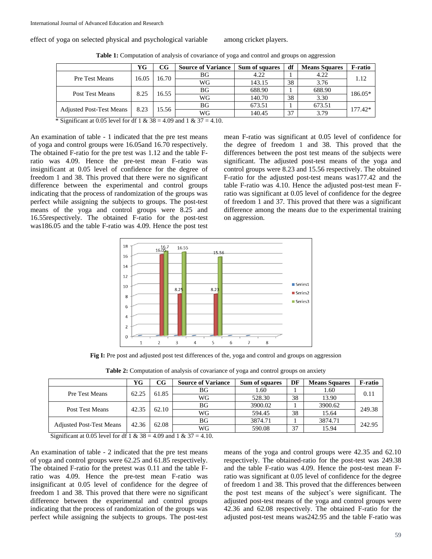effect of yoga on selected physical and psychological variable among cricket players.

|                                 | YG    | $_{\rm CG}$ | <b>Source of Variance</b> | Sum of squares | df | <b>Means Squares</b> | <b>F-ratio</b> |  |
|---------------------------------|-------|-------------|---------------------------|----------------|----|----------------------|----------------|--|
| Pre Test Means                  | 16.05 | 16.70       | ΒG                        | 4.22           |    | 4.22                 | 1.12           |  |
|                                 |       |             | WG                        | 143.15         | 38 | 3.76                 |                |  |
| Post Test Means                 | 8.25  | 16.55       | <b>BG</b>                 | 688.90         |    | 688.90               | 186.05*        |  |
|                                 |       |             | WG                        | 140.70         | 38 | 3.30                 |                |  |
| <b>Adjusted Post-Test Means</b> | 8.23  | 15.56       | ΒG                        | 673.51         |    | 673.51               | 177.42*        |  |
|                                 |       |             | WG                        | 140.45         | 37 | 3.79                 |                |  |

**Table 1:** Computation of analysis of covariance of yoga and control and groups on aggression

\* Significant at 0.05 level for df 1 &  $38 = 4.09$  and 1 &  $37 = 4.10$ .

An examination of table - 1 indicated that the pre test means of yoga and control groups were 16.05and 16.70 respectively. The obtained F-ratio for the pre test was 1.12 and the table Fratio was 4.09. Hence the pre-test mean F-ratio was insignificant at 0.05 level of confidence for the degree of freedom 1 and 38. This proved that there were no significant difference between the experimental and control groups indicating that the process of randomization of the groups was perfect while assigning the subjects to groups. The post-test means of the yoga and control groups were 8.25 and 16.55respectively. The obtained F-ratio for the post-test was186.05 and the table F-ratio was 4.09. Hence the post test mean F-ratio was significant at 0.05 level of confidence for the degree of freedom 1 and 38. This proved that the differences between the post test means of the subjects were significant. The adjusted post-test means of the yoga and control groups were 8.23 and 15.56 respectively. The obtained F-ratio for the adjusted post-test means was177.42 and the table F-ratio was 4.10. Hence the adjusted post-test mean Fratio was significant at 0.05 level of confidence for the degree of freedom 1 and 37. This proved that there was a significant difference among the means due to the experimental training on aggression.



**Fig I:** Pre post and adjusted post test differences of the, yoga and control and groups on aggression

|                                 | YG    | CG    | <b>Source of Variance</b> | <b>Sum of squares</b> | DF | <b>Means Squares</b> | <b>F-ratio</b> |  |
|---------------------------------|-------|-------|---------------------------|-----------------------|----|----------------------|----------------|--|
| Pre Test Means                  | 62.25 | 61.85 | ΒG                        | 1.60                  |    | 1.60                 |                |  |
|                                 |       |       | WG                        | 528.30                | 38 | 13.90                | 0.11           |  |
| Post Test Means                 | 42.35 | 62.10 | ΒG                        | 3900.02               |    | 3900.62              | 249.38         |  |
|                                 |       |       | WG                        | 594.45                | 38 | 15.64                |                |  |
| <b>Adjusted Post-Test Means</b> | 42.36 | 62.08 | ΒG                        | 3874.71               |    | 3874.71              | 242.95         |  |
|                                 |       |       | WG                        | 590.08                | 37 | 15.94                |                |  |

Significant at 0.05 level for df 1 &  $38 = 4.09$  and 1 &  $37 = 4.10$ .

An examination of table - 2 indicated that the pre test means of yoga and control groups were 62.25 and 61.85 respectively. The obtained F-ratio for the pretest was 0.11 and the table Fratio was 4.09. Hence the pre-test mean F-ratio was insignificant at 0.05 level of confidence for the degree of freedom 1 and 38. This proved that there were no significant difference between the experimental and control groups indicating that the process of randomization of the groups was perfect while assigning the subjects to groups. The post-test means of the yoga and control groups were 42.35 and 62.10 respectively. The obtained-ratio for the post-test was 249.38 and the table F-ratio was 4.09. Hence the post-test mean Fratio was significant at 0.05 level of confidence for the degree of freedom 1 and 38. This proved that the differences between the post test means of the subject's were significant. The adjusted post-test means of the yoga and control groups were 42.36 and 62.08 respectively. The obtained F-ratio for the adjusted post-test means was242.95 and the table F-ratio was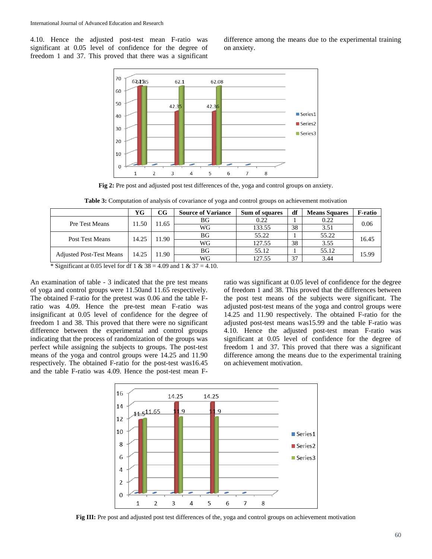4.10. Hence the adjusted post-test mean F-ratio was significant at 0.05 level of confidence for the degree of freedom 1 and 37. This proved that there was a significant

difference among the means due to the experimental training on anxiety.



**Fig 2:** Pre post and adjusted post test differences of the, yoga and control groups on anxiety.

| <b>Table 3:</b> Computation of analysis of covariance of yoga and control groups on achievement motivation |  |  |  |  |  |  |  |  |
|------------------------------------------------------------------------------------------------------------|--|--|--|--|--|--|--|--|
|------------------------------------------------------------------------------------------------------------|--|--|--|--|--|--|--|--|

|                                                                                                                                       | YG    | CG    | <b>Source of Variance</b> | Sum of squares | df | <b>Means Squares</b> | <b>F-ratio</b> |  |
|---------------------------------------------------------------------------------------------------------------------------------------|-------|-------|---------------------------|----------------|----|----------------------|----------------|--|
| Pre Test Means                                                                                                                        | 11.50 | 11.65 | ΒG                        | 0.22           |    | 0.22                 | 0.06           |  |
|                                                                                                                                       |       |       | WG                        | 133.55         | 38 | 3.51                 |                |  |
| Post Test Means                                                                                                                       | 14.25 | 11.90 | ΒG                        | 55.22          |    | 55.22                | 16.45          |  |
|                                                                                                                                       |       |       | WG                        | 127.55         | 38 | 3.55                 |                |  |
| <b>Adjusted Post-Test Means</b>                                                                                                       | 14.25 | 11.90 | ΒG                        | 55.12          |    | 55.12                | 15.99          |  |
|                                                                                                                                       |       |       | WG                        | 127.55         | 37 | 3.44                 |                |  |
| $\frac{1}{2}$ C :  : C :  t + 0.05 1  1 C = 1 C = 1 0.00 $\frac{1}{2}$ 0.00 $\frac{1}{2}$ 0.00 $\frac{1}{2}$ 1 0.07 $\frac{1}{2}$ 10. |       |       |                           |                |    |                      |                |  |

\* Significant at 0.05 level for df 1 &  $38 = 4.09$  and 1 &  $37 = 4.10$ .

An examination of table - 3 indicated that the pre test means of yoga and control groups were 11.50and 11.65 respectively. The obtained F-ratio for the pretest was 0.06 and the table Fratio was 4.09. Hence the pre-test mean F-ratio was insignificant at 0.05 level of confidence for the degree of freedom 1 and 38. This proved that there were no significant difference between the experimental and control groups indicating that the process of randomization of the groups was perfect while assigning the subjects to groups. The post-test means of the yoga and control groups were 14.25 and 11.90 respectively. The obtained F-ratio for the post-test was16.45 and the table F-ratio was 4.09. Hence the post-test mean F-

ratio was significant at 0.05 level of confidence for the degree of freedom 1 and 38. This proved that the differences between the post test means of the subjects were significant. The adjusted post-test means of the yoga and control groups were 14.25 and 11.90 respectively. The obtained F-ratio for the adjusted post-test means was15.99 and the table F-ratio was 4.10. Hence the adjusted post-test mean F-ratio was significant at 0.05 level of confidence for the degree of freedom 1 and 37. This proved that there was a significant difference among the means due to the experimental training on achievement motivation.



**Fig III:** Pre post and adjusted post test differences of the, yoga and control groups on achievement motivation